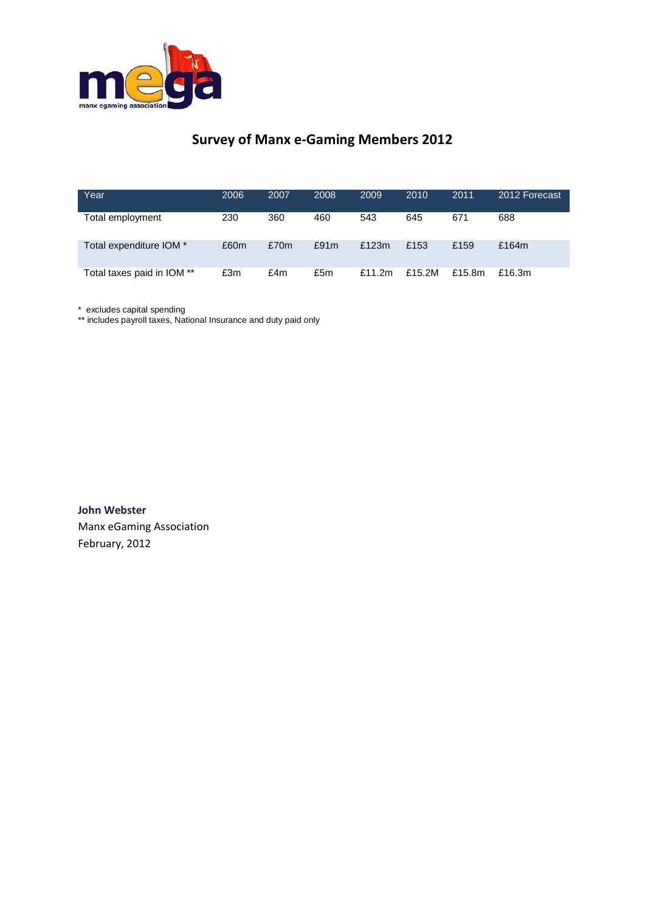

## **Survey of Manx e-Gaming Members 2012**

| Year                       | 2006 | 2007 | 2008 | 2009      | 2010   | 2011   | 2012 Forecast |
|----------------------------|------|------|------|-----------|--------|--------|---------------|
| Total employment           | 230  | 360  | 460  | 543       | 645    | 671    | 688           |
| Total expenditure IOM *    | £60m | £70m | £91m | £123 $m$  | £153   | £159   | £164m         |
| Total taxes paid in IOM ** | £3m  | £4m  | £5m  | £11.2 $m$ | £15.2M | £15.8m | £16.3 $m$     |

\* excludes capital spending

\*\* includes payroll taxes, National Insurance and duty paid only

**John Webster** Manx eGaming Association February, 2012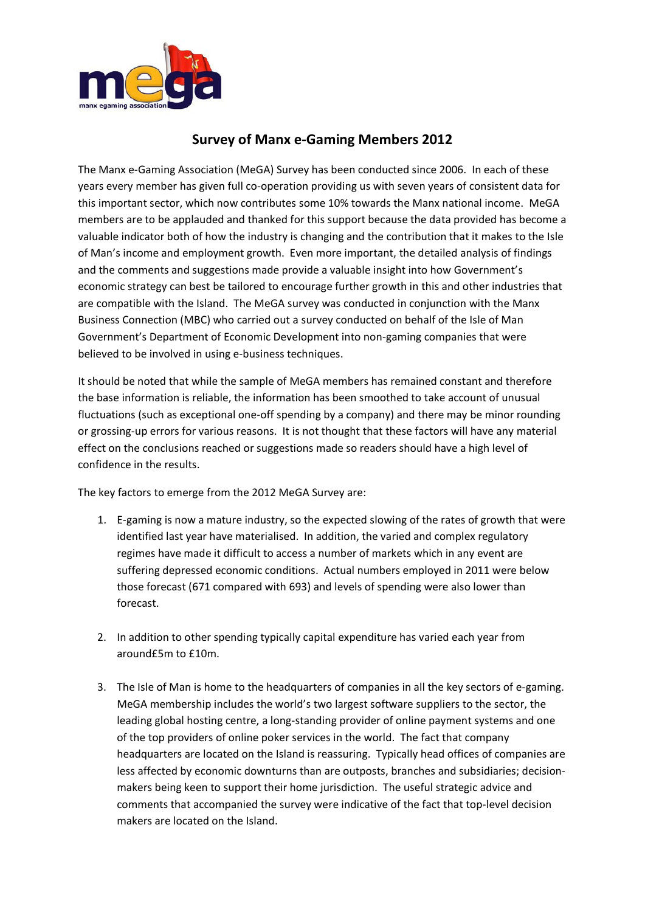

## **Survey of Manx e-Gaming Members 2012**

The Manx e-Gaming Association (MeGA) Survey has been conducted since 2006. In each of these years every member has given full co-operation providing us with seven years of consistent data for this important sector, which now contributes some 10% towards the Manx national income. MeGA members are to be applauded and thanked for this support because the data provided has become a valuable indicator both of how the industry is changing and the contribution that it makes to the Isle of Man's income and employment growth. Even more important, the detailed analysis of findings and the comments and suggestions made provide a valuable insight into how Government's economic strategy can best be tailored to encourage further growth in this and other industries that are compatible with the Island. The MeGA survey was conducted in conjunction with the Manx Business Connection (MBC) who carried out a survey conducted on behalf of the Isle of Man Government's Department of Economic Development into non-gaming companies that were believed to be involved in using e-business techniques.

It should be noted that while the sample of MeGA members has remained constant and therefore the base information is reliable, the information has been smoothed to take account of unusual fluctuations (such as exceptional one-off spending by a company) and there may be minor rounding or grossing-up errors for various reasons. It is not thought that these factors will have any material effect on the conclusions reached or suggestions made so readers should have a high level of confidence in the results.

The key factors to emerge from the 2012 MeGA Survey are:

- 1. E-gaming is now a mature industry, so the expected slowing of the rates of growth that were identified last year have materialised. In addition, the varied and complex regulatory regimes have made it difficult to access a number of markets which in any event are suffering depressed economic conditions. Actual numbers employed in 2011 were below those forecast (671 compared with 693) and levels of spending were also lower than forecast.
- 2. In addition to other spending typically capital expenditure has varied each year from around£5m to £10m.
- 3. The Isle of Man is home to the headquarters of companies in all the key sectors of e-gaming. MeGA membership includes the world's two largest software suppliers to the sector, the leading global hosting centre, a long-standing provider of online payment systems and one of the top providers of online poker services in the world. The fact that company headquarters are located on the Island is reassuring. Typically head offices of companies are less affected by economic downturns than are outposts, branches and subsidiaries; decisionmakers being keen to support their home jurisdiction. The useful strategic advice and comments that accompanied the survey were indicative of the fact that top-level decision makers are located on the Island.